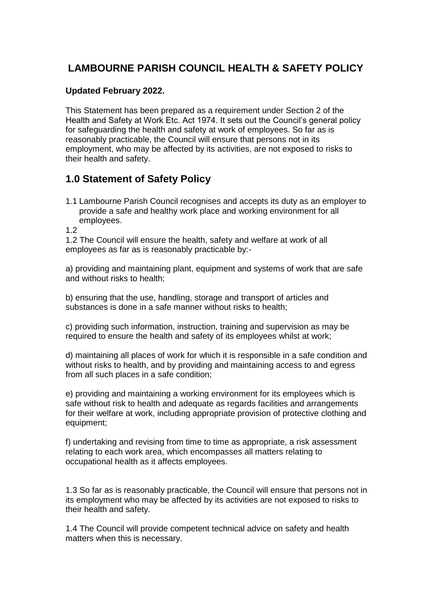# **LAMBOURNE PARISH COUNCIL HEALTH & SAFETY POLICY**

#### **Updated February 2022.**

This Statement has been prepared as a requirement under Section 2 of the Health and Safety at Work Etc. Act 1974. It sets out the Council's general policy for safeguarding the health and safety at work of employees. So far as is reasonably practicable, the Council will ensure that persons not in its employment, who may be affected by its activities, are not exposed to risks to their health and safety.

## **1.0 Statement of Safety Policy**

1.1 Lambourne Parish Council recognises and accepts its duty as an employer to provide a safe and healthy work place and working environment for all employees.

1.2

1.2 The Council will ensure the health, safety and welfare at work of all employees as far as is reasonably practicable by:-

a) providing and maintaining plant, equipment and systems of work that are safe and without risks to health;

b) ensuring that the use, handling, storage and transport of articles and substances is done in a safe manner without risks to health;

c) providing such information, instruction, training and supervision as may be required to ensure the health and safety of its employees whilst at work;

d) maintaining all places of work for which it is responsible in a safe condition and without risks to health, and by providing and maintaining access to and egress from all such places in a safe condition;

e) providing and maintaining a working environment for its employees which is safe without risk to health and adequate as regards facilities and arrangements for their welfare at work, including appropriate provision of protective clothing and equipment;

f) undertaking and revising from time to time as appropriate, a risk assessment relating to each work area, which encompasses all matters relating to occupational health as it affects employees.

1.3 So far as is reasonably practicable, the Council will ensure that persons not in its employment who may be affected by its activities are not exposed to risks to their health and safety.

1.4 The Council will provide competent technical advice on safety and health matters when this is necessary.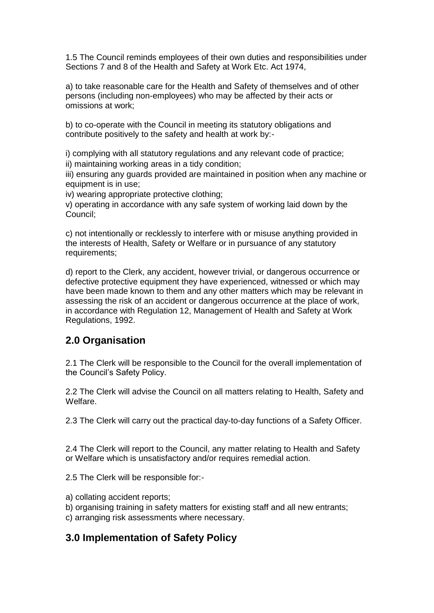1.5 The Council reminds employees of their own duties and responsibilities under Sections 7 and 8 of the Health and Safety at Work Etc. Act 1974,

a) to take reasonable care for the Health and Safety of themselves and of other persons (including non-employees) who may be affected by their acts or omissions at work;

b) to co-operate with the Council in meeting its statutory obligations and contribute positively to the safety and health at work by:-

i) complying with all statutory regulations and any relevant code of practice; ii) maintaining working areas in a tidy condition;

iii) ensuring any guards provided are maintained in position when any machine or equipment is in use;

iv) wearing appropriate protective clothing;

v) operating in accordance with any safe system of working laid down by the Council;

c) not intentionally or recklessly to interfere with or misuse anything provided in the interests of Health, Safety or Welfare or in pursuance of any statutory requirements:

d) report to the Clerk, any accident, however trivial, or dangerous occurrence or defective protective equipment they have experienced, witnessed or which may have been made known to them and any other matters which may be relevant in assessing the risk of an accident or dangerous occurrence at the place of work, in accordance with Regulation 12, Management of Health and Safety at Work Regulations, 1992.

### **2.0 Organisation**

2.1 The Clerk will be responsible to the Council for the overall implementation of the Council's Safety Policy.

2.2 The Clerk will advise the Council on all matters relating to Health, Safety and Welfare.

2.3 The Clerk will carry out the practical day-to-day functions of a Safety Officer.

2.4 The Clerk will report to the Council, any matter relating to Health and Safety or Welfare which is unsatisfactory and/or requires remedial action.

2.5 The Clerk will be responsible for:-

- a) collating accident reports;
- b) organising training in safety matters for existing staff and all new entrants;

c) arranging risk assessments where necessary.

### **3.0 Implementation of Safety Policy**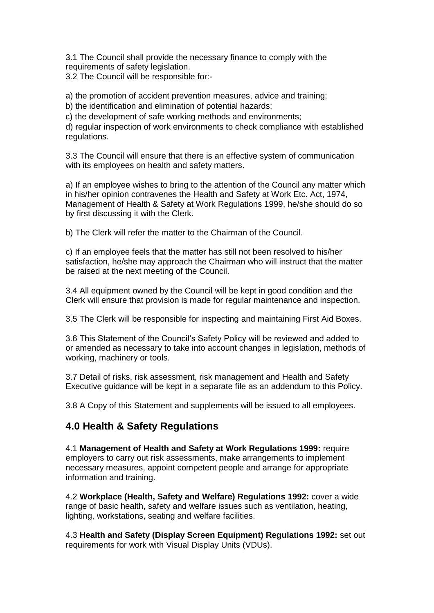3.1 The Council shall provide the necessary finance to comply with the requirements of safety legislation.

3.2 The Council will be responsible for:-

a) the promotion of accident prevention measures, advice and training;

b) the identification and elimination of potential hazards;

c) the development of safe working methods and environments;

d) regular inspection of work environments to check compliance with established regulations.

3.3 The Council will ensure that there is an effective system of communication with its employees on health and safety matters.

a) If an employee wishes to bring to the attention of the Council any matter which in his/her opinion contravenes the Health and Safety at Work Etc. Act, 1974, Management of Health & Safety at Work Regulations 1999, he/she should do so by first discussing it with the Clerk.

b) The Clerk will refer the matter to the Chairman of the Council.

c) If an employee feels that the matter has still not been resolved to his/her satisfaction, he/she may approach the Chairman who will instruct that the matter be raised at the next meeting of the Council.

3.4 All equipment owned by the Council will be kept in good condition and the Clerk will ensure that provision is made for regular maintenance and inspection.

3.5 The Clerk will be responsible for inspecting and maintaining First Aid Boxes.

3.6 This Statement of the Council's Safety Policy will be reviewed and added to or amended as necessary to take into account changes in legislation, methods of working, machinery or tools.

3.7 Detail of risks, risk assessment, risk management and Health and Safety Executive guidance will be kept in a separate file as an addendum to this Policy.

3.8 A Copy of this Statement and supplements will be issued to all employees.

### **4.0 Health & Safety Regulations**

4.1 **Management of Health and Safety at Work Regulations 1999:** require employers to carry out risk assessments, make arrangements to implement necessary measures, appoint competent people and arrange for appropriate information and training.

4.2 **Workplace (Health, Safety and Welfare) Regulations 1992:** cover a wide range of basic health, safety and welfare issues such as ventilation, heating, lighting, workstations, seating and welfare facilities.

4.3 **Health and Safety (Display Screen Equipment) Regulations 1992:** set out requirements for work with Visual Display Units (VDUs).